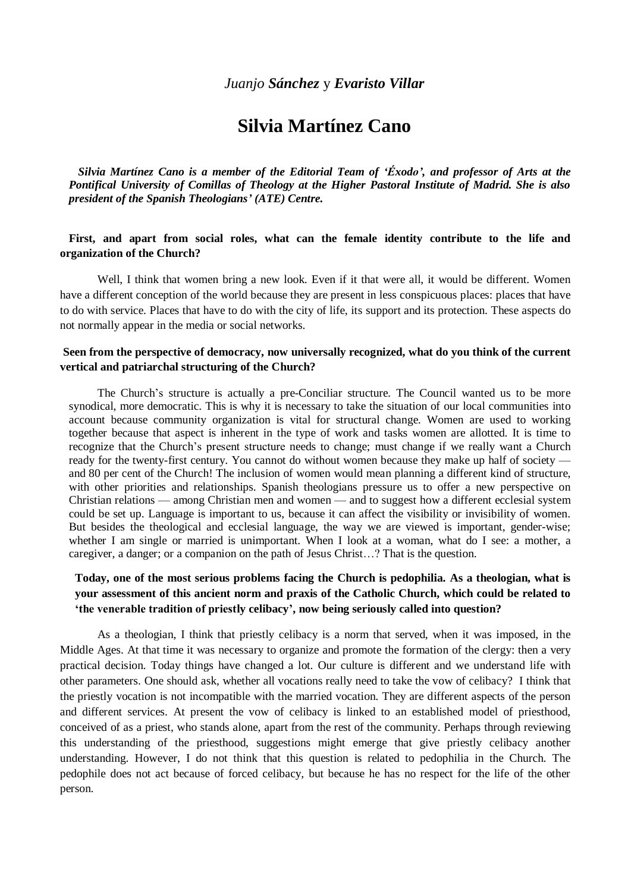# **Silvia Martínez Cano**

*Silvia Martínez Cano is a member of the Editorial Team of 'Éxodo', and professor of Arts at the Pontifical University of Comillas of Theology at the Higher Pastoral Institute of Madrid. She is also president of the Spanish Theologians' (ATE) Centre.*

## **First, and apart from social roles, what can the female identity contribute to the life and organization of the Church?**

Well, I think that women bring a new look. Even if it that were all, it would be different. Women have a different conception of the world because they are present in less conspicuous places: places that have to do with service. Places that have to do with the city of life, its support and its protection. These aspects do not normally appear in the media or social networks.

#### **Seen from the perspective of democracy, now universally recognized, what do you think of the current vertical and patriarchal structuring of the Church?**

 The Church's structure is actually a pre-Conciliar structure. The Council wanted us to be more synodical, more democratic. This is why it is necessary to take the situation of our local communities into account because community organization is vital for structural change. Women are used to working together because that aspect is inherent in the type of work and tasks women are allotted. It is time to recognize that the Church's present structure needs to change; must change if we really want a Church ready for the twenty-first century. You cannot do without women because they make up half of society and 80 per cent of the Church! The inclusion of women would mean planning a different kind of structure, with other priorities and relationships. Spanish theologians pressure us to offer a new perspective on Christian relations — among Christian men and women — and to suggest how a different ecclesial system could be set up. Language is important to us, because it can affect the visibility or invisibility of women. But besides the theological and ecclesial language, the way we are viewed is important, gender-wise; whether I am single or married is unimportant. When I look at a woman, what do I see: a mother, a caregiver, a danger; or a companion on the path of Jesus Christ…? That is the question.

# **Today, one of the most serious problems facing the Church is pedophilia. As a theologian, what is your assessment of this ancient norm and praxis of the Catholic Church, which could be related to 'the venerable tradition of priestly celibacy', now being seriously called into question?**

 As a theologian, I think that priestly celibacy is a norm that served, when it was imposed, in the Middle Ages. At that time it was necessary to organize and promote the formation of the clergy: then a very practical decision. Today things have changed a lot. Our culture is different and we understand life with other parameters. One should ask, whether all vocations really need to take the vow of celibacy? I think that the priestly vocation is not incompatible with the married vocation. They are different aspects of the person and different services. At present the vow of celibacy is linked to an established model of priesthood, conceived of as a priest, who stands alone, apart from the rest of the community. Perhaps through reviewing this understanding of the priesthood, suggestions might emerge that give priestly celibacy another understanding. However, I do not think that this question is related to pedophilia in the Church. The pedophile does not act because of forced celibacy, but because he has no respect for the life of the other person.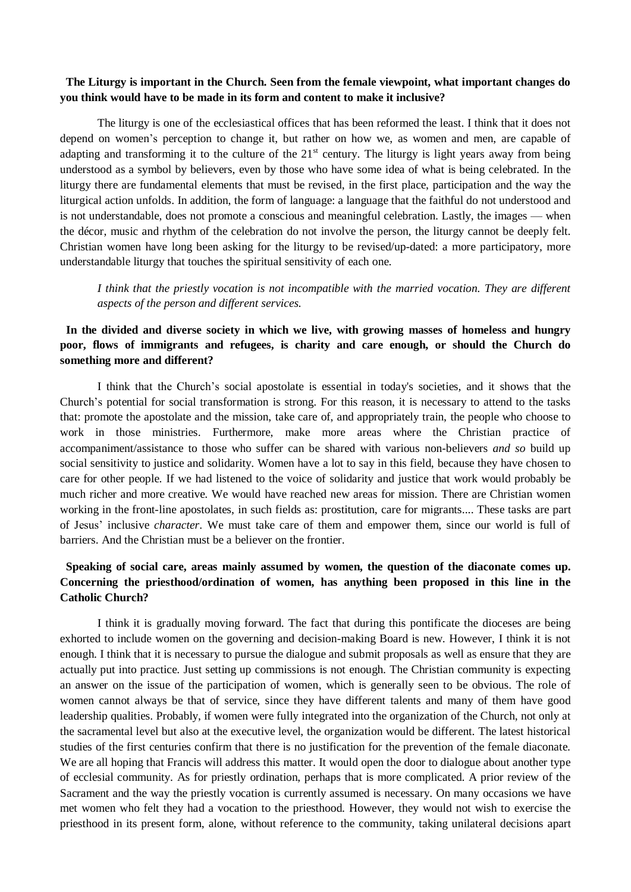#### **The Liturgy is important in the Church. Seen from the female viewpoint, what important changes do you think would have to be made in its form and content to make it inclusive?**

The liturgy is one of the ecclesiastical offices that has been reformed the least. I think that it does not depend on women's perception to change it, but rather on how we, as women and men, are capable of adapting and transforming it to the culture of the  $21<sup>st</sup>$  century. The liturgy is light years away from being understood as a symbol by believers, even by those who have some idea of what is being celebrated. In the liturgy there are fundamental elements that must be revised, in the first place, participation and the way the liturgical action unfolds. In addition, the form of language: a language that the faithful do not understood and is not understandable, does not promote a conscious and meaningful celebration. Lastly, the images — when the décor, music and rhythm of the celebration do not involve the person, the liturgy cannot be deeply felt. Christian women have long been asking for the liturgy to be revised/up-dated: a more participatory, more understandable liturgy that touches the spiritual sensitivity of each one.

*I think that the priestly vocation is not incompatible with the married vocation. They are different aspects of the person and different services.*

# **In the divided and diverse society in which we live, with growing masses of homeless and hungry poor, flows of immigrants and refugees, is charity and care enough, or should the Church do something more and different?**

I think that the Church's social apostolate is essential in today's societies, and it shows that the Church's potential for social transformation is strong. For this reason, it is necessary to attend to the tasks that: promote the apostolate and the mission, take care of, and appropriately train, the people who choose to work in those ministries. Furthermore, make more areas where the Christian practice of accompaniment/assistance to those who suffer can be shared with various non-believers *and so* build up social sensitivity to justice and solidarity. Women have a lot to say in this field, because they have chosen to care for other people. If we had listened to the voice of solidarity and justice that work would probably be much richer and more creative. We would have reached new areas for mission. There are Christian women working in the front-line apostolates, in such fields as: prostitution, care for migrants.... These tasks are part of Jesus' inclusive *character*. We must take care of them and empower them, since our world is full of barriers. And the Christian must be a believer on the frontier.

# **Speaking of social care, areas mainly assumed by women, the question of the diaconate comes up. Concerning the priesthood/ordination of women, has anything been proposed in this line in the Catholic Church?**

 I think it is gradually moving forward. The fact that during this pontificate the dioceses are being exhorted to include women on the governing and decision-making Board is new. However, I think it is not enough. I think that it is necessary to pursue the dialogue and submit proposals as well as ensure that they are actually put into practice. Just setting up commissions is not enough. The Christian community is expecting an answer on the issue of the participation of women, which is generally seen to be obvious. The role of women cannot always be that of service, since they have different talents and many of them have good leadership qualities. Probably, if women were fully integrated into the organization of the Church, not only at the sacramental level but also at the executive level, the organization would be different. The latest historical studies of the first centuries confirm that there is no justification for the prevention of the female diaconate. We are all hoping that Francis will address this matter. It would open the door to dialogue about another type of ecclesial community. As for priestly ordination, perhaps that is more complicated. A prior review of the Sacrament and the way the priestly vocation is currently assumed is necessary. On many occasions we have met women who felt they had a vocation to the priesthood. However, they would not wish to exercise the priesthood in its present form, alone, without reference to the community, taking unilateral decisions apart